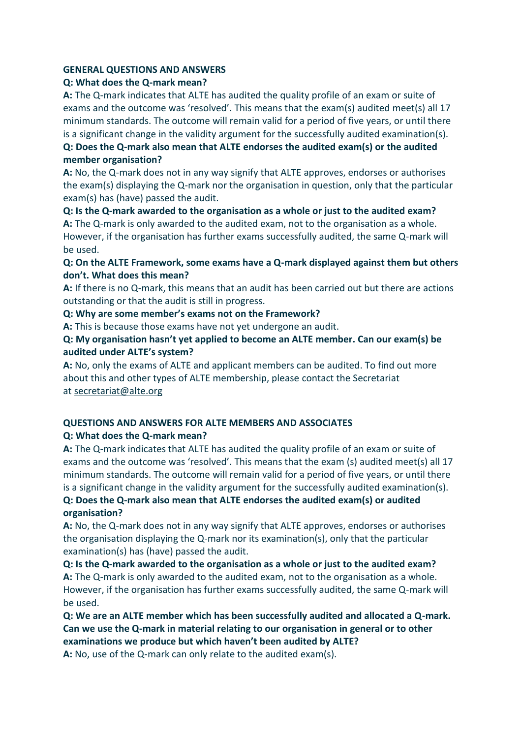#### **GENERAL QUESTIONS AND ANSWERS**

#### **Q: What does the Q-mark mean?**

**A:** The Q-mark indicates that ALTE has audited the quality profile of an exam or suite of exams and the outcome was 'resolved'. This means that the exam(s) audited meet(s) all 17 minimum standards. The outcome will remain valid for a period of five years, or until there is a significant change in the validity argument for the successfully audited examination(s).

**Q: Does the Q-mark also mean that ALTE endorses the audited exam(s) or the audited member organisation?**

**A:** No, the Q-mark does not in any way signify that ALTE approves, endorses or authorises the exam(s) displaying the Q-mark nor the organisation in question, only that the particular exam(s) has (have) passed the audit.

**Q: Is the Q-mark awarded to the organisation as a whole or just to the audited exam? A:** The Q-mark is only awarded to the audited exam, not to the organisation as a whole. However, if the organisation has further exams successfully audited, the same Q-mark will be used.

**Q: On the ALTE Framework, some exams have a Q-mark displayed against them but others don't. What does this mean?**

**A:** If there is no Q-mark, this means that an audit has been carried out but there are actions outstanding or that the audit is still in progress.

**Q: Why are some member's exams not on the Framework?**

**A:** This is because those exams have not yet undergone an audit.

**Q: My organisation hasn't yet applied to become an ALTE member. Can our exam(s) be audited under ALTE's system?**

**A:** No, only the exams of ALTE and applicant members can be audited. To find out more about this and other types of ALTE membership, please contact the Secretariat at [secretariat@alte.org](mailto:secretariat@alte.org)

#### **QUESTIONS AND ANSWERS FOR ALTE MEMBERS AND ASSOCIATES Q: What does the Q-mark mean?**

**A:** The Q-mark indicates that ALTE has audited the quality profile of an exam or suite of exams and the outcome was 'resolved'. This means that the exam (s) audited meet(s) all 17 minimum standards. The outcome will remain valid for a period of five years, or until there is a significant change in the validity argument for the successfully audited examination(s).

**Q: Does the Q-mark also mean that ALTE endorses the audited exam(s) or audited organisation?**

**A:** No, the Q-mark does not in any way signify that ALTE approves, endorses or authorises the organisation displaying the Q-mark nor its examination(s), only that the particular examination(s) has (have) passed the audit.

**Q: Is the Q-mark awarded to the organisation as a whole or just to the audited exam? A:** The Q-mark is only awarded to the audited exam, not to the organisation as a whole. However, if the organisation has further exams successfully audited, the same Q-mark will be used.

**Q: We are an ALTE member which has been successfully audited and allocated a Q-mark. Can we use the Q-mark in material relating to our organisation in general or to other examinations we produce but which haven't been audited by ALTE?**

**A:** No, use of the Q-mark can only relate to the audited exam(s).